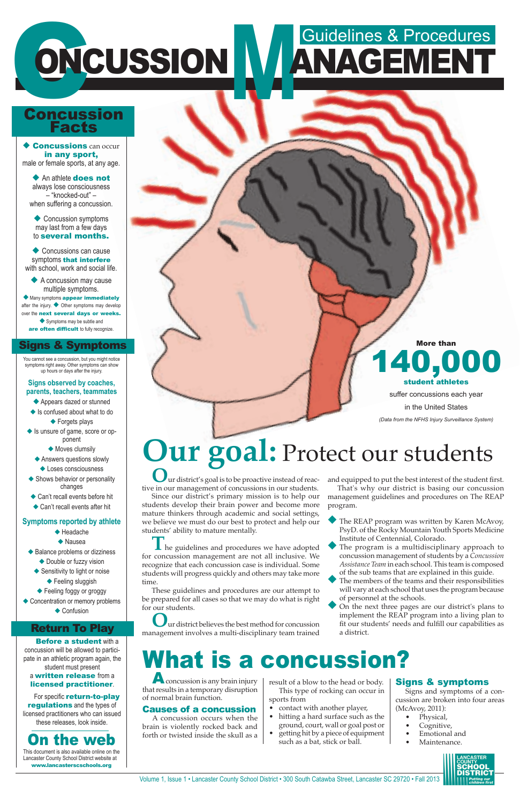Volume 1, Issue 1 • Lancaster County School District • 300 South Catawba Street, Lancaster SC 29720 • Fall 2013

# **ONCUSSION ANAGEMENT** ONCUSSION IV ANAGEMENT

### Concussion Facts

# **Our goal:** Protect our students

**O**ur district's goal is to be proactive instead of reactive in our management of concussions in our students.

**I** he guidelines and procedures we have adopted for concussion management are not all inclusive. We recognize that each concussion case is individual. Some students will progress quickly and others may take more time.

Since our district's primary mission is to help our students develop their brain power and become more mature thinkers through academic and social settings, we believe we must do our best to protect and help our students' ability to mature mentally.

- The REAP program was written by Karen McAvoy, PsyD. of the Rocky Mountain Youth Sports Medicine Institute of Centennial, Colorado.
- The program is a multidisciplinary approach to concussion management of students by a *Concussion Assistance Team* in each school. This team is composed of the sub teams that are explained in this guide.
- The members of the teams and their responsibilities will vary at each school that uses the program because

These guidelines and procedures are our attempt to be prepared for all cases so that we may do what is right for our students.

On the next three pages are our district's plans to implement the REAP program into a living plan to fit our students' needs and fulfill our capabilities as a district.

**O**ur district believes the best method for concussion management involves a multi-disciplinary team trained

and equipped to put the best interest of the student first. That's why our district is basing our concussion management guidelines and procedures on The REAP

program.

 $\triangle$  Concussions can occur in any sport, male or female sports, at any age.

◆ An athlete **does not** always lose consciousness – "knocked-out" – when suffering a concussion.

 $\bullet$  Concussion symptoms may last from a few days to several months.

 $\blacklozenge$  Concussions can cause symptoms that interfere with school, work and social life.

 $\blacklozenge$  A concussion may cause multiple symptoms.

◆ Many symptoms appear immediately after the injury.  $\blacklozenge$  Other symptoms may develop over the next several days or weeks.  $\blacklozenge$  Symptoms may be subtle and are often difficult to fully recognize.

of personnel at the schools.

More than

140,000 student athletes suffer concussions each year

in the United States

*(Data from the NFHS Injury Surveillance System)*

 $\blacklozenge$  Feeling foggy or groggy  $\triangle$  Concentration or memory problems  $\triangle$  Confusion

# What is a concussion?

A concussion is any brain injury that results in a temporary disruption of normal brain function.

**Before a student with a** concussion will be allowed to participate in an athletic program again, the student must present a written release from a licensed practitioner.

#### Causes of a concussion

A concussion occurs when the brain is violently rocked back and

For specific return-to-play **regulations** and the types of licensed practitioners who can issued these releases, look inside.

result of a blow to the head or body. This type of rocking can occur in sports from

- contact with another player,
- hitting a hard surface such as the ground, court, wall or goal post or
- **On the web** forth or twisted inside the skull as a  $\cdot$  getting hit by a piece of equipment **•** Emotional and such as a bat, stick or ball. Maintenance. • getting hit by a piece of equipment such as a bat, stick or ball.

#### Signs & symptoms

Signs and symptoms of a concussion are broken into four areas (McAvoy, 2011):

- Physical,
- Cognitive,
- 
- 



This document is also available online on the Lancaster County School District website at www.lancasterscschools.org

You cannot see a concussion, but you might notice symptoms right away. Other symptoms can show up hours or days after the injury.

#### **Signs observed by coaches, parents, teachers, teammates**

- $\blacklozenge$  Appears dazed or stunned
- $\blacklozenge$  Is confused about what to do  $\blacklozenge$  Forgets plays
- $\blacklozenge$  Is unsure of game, score or opponent
	- $\blacklozenge$  Moves clumsily
	- $\blacklozenge$  Answers questions slowly  $\blacklozenge$  Loses consciousness
- $\blacklozenge$  Shows behavior or personality changes
- $\triangle$  Can't recall events before hit
- $\triangle$  Can't recall events after hit

#### **Symptoms reported by athlete**

- $\triangle$  Headache
- $\blacklozenge$  Nausea
- $\triangle$  Balance problems or dizziness  $\blacklozenge$  Double or fuzzy vision
	- $\blacklozenge$  Sensitivity to light or noise  $\blacklozenge$  Feeling sluggish
		-

#### Return To Play

#### Signs & Symptoms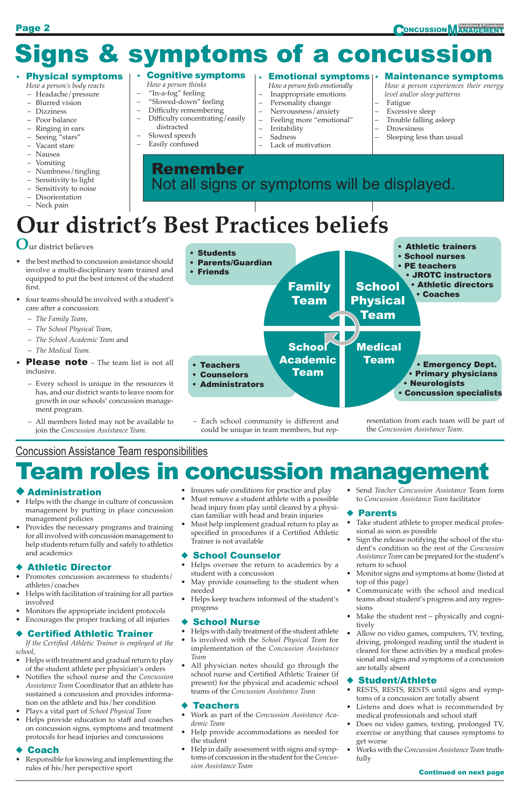#### • Physical symptoms

*How a person's body reacts*

- *How a person thinks*
- "In-a-fog" feeling
- "Slowed-down" feeling
- Difficulty remembering – Difficulty concentrating/easily
- distracted
- Slowed speech
- Headache/pressure
- Blurred vision
- Dizziness
- Poor balance
- Ringing in ears – Seeing "stars"
- Vacant stare
- 
- Nausea
- Vomiting
- Numbness/tingling
- Sensitivity to light
- Sensitivity to noise – Disorientation
- Neck pain

#### • Cognitive symptoms

#### – Easily confused

*How a person feels emotionally* – Inappropriate emotions

- Personality change
- Nervousness/anxiety
- Feeling more "emotional"
- **Irritability**
- Sadness
- Lack of motivation

#### $\boldsymbol{\cdot}$  Emotional symptoms $|\boldsymbol{\cdot}\>$  Maintenance symptoms

*How a person experiences their energy level and/or sleep patterns*

- Fatigue Excessive sleep
- Trouble falling asleep
- Drowsiness
- 
- Sleeping less than usual

# Signs & symptoms of a concussion

**O**ur district believes

- the best method to concussion assistance should involve a multi-disciplinary team trained and equipped to put the best interest of the student first.
- four teams should be involved with a student's care after a concussion:
	- *The Family Team*,
	- *The School Physical Team*,
	- *The School Academic Team* and
	- *The Medical Team*.
- **Please note** The team list is not all inclusive.
	- Every school is unique in the resources it has, and our district wants to leave room for growth in our schools' concussion management program.
	- All members listed may not be available to join the *Concussion Assistance Team*.

Remember Not all signs or symptoms will be displayed.

# **Our district's Best Practices beliefs**



– Each school community is different and could be unique in team members, but representation from each team will be part of the *Concussion Assistance Team*.

### Concussion Assistance Team responsibilities

## **Team roles in concussion management**

#### **Administration**

- Helps with the change in culture of concussion management by putting in place concussion management policies
- Provides the necessary programs and training for all involved with concussion management to help students return fully and safely to athletics and academics

#### **Athletic Director**

- Helps with facilitation of training for all parties involved
- Monitors the appropriate incident protocols
- Encourages the proper tracking of all injuries

#### **Certified Athletic Trainer**

*If the Certified Athletic Trainer is employed at the school,*

- Helps with treatment and gradual return to play of the student athlete per physician's orders
- Notifies the school nurse and the *Concussion Assistance Team* Coordinator that an athlete has sustained a concussion and provides information on the athlete and his/her condition
- Plays a vital part of *School Physical Team*
- Helps provide education to staff and coaches on concussion signs, symptoms and treatment protocols for head injuries and concussions

#### **Coach**

- Promotes concussion awareness to students/ athletes/coaches
- Insures safe conditions for practice and play
- Must remove a student athlete with a possible head injury from play until cleared by a physician familiar with head and brain injuries
- Must help implement gradual return to play as specified in procedures if a Certified Athletic Trainer is not available

#### ◆ School Counselor

• Responsible for knowing and implementing the rules of his/her perspective sport

needed

• Helps keep teachers informed of the student's progress

#### **School Nurse**

- Helps with daily treatment of the student athlete
- Is involved with the *School Physical Team* for implementation of the *Concussion Assistance Team*
- All physician notes should go through the school nurse and Certified Athletic Trainer (if present) for the physical and academic school teams of the *Concussion Assistance Team*

#### $\blacklozenge$  Teachers

- Helps oversee the return to academics by a student with a concussion
- May provide counseling to the student when
- Send *Teacher Concussion Assistance* Team form to *Concussion Assistance Team* facilitator

#### ◆ Parents

- Work as part of the *Concussion Assistance Academic Team*
- Help provide accommodations as needed for the student
- Help in daily assessment with signs and symptoms of concussion in the student for the *Concussion Assistance Team*

#### **Student/Athlete**

- Take student athlete to proper medical professional as soon as possible
- Sign the release notifying the school of the student's condition so the rest of the *Concussion Assistance Team* can be prepared for the student's return to school
- Monitor signs and symptoms at home (listed at top of this page)
- Communicate with the school and medical teams about student's progress and any regressions • Make the student rest – physically and cognitively • Allow no video games, computers, TV, texting, driving, prolonged reading until the student is cleared for these activities by a medical professional and signs and symptoms of a concussion are totally absent

- RESTS, RESTS, RESTS until signs and symptoms of a concussion are totally absent
- Listens and does what is recommended by medical professionals and school staff
- Does no video games, texting, prolonged TV, exercise or anything that causes symptoms to get worse
- Works with the *Concussion Assistance Team* truthfully

#### Continued on next page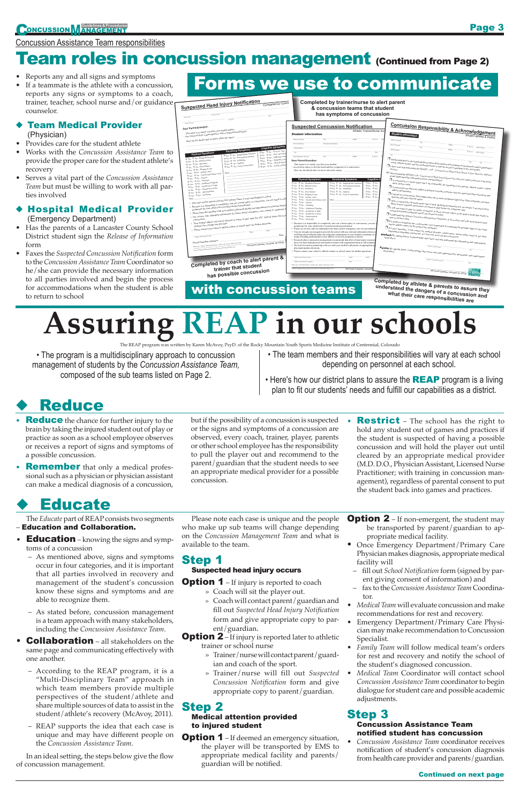#### **Team Medical Provider** (Physician)

- Reports any and all signs and symptoms
- If a teammate is the athlete with a concussion, reports any signs or symptoms to a coach, trainer, teacher, school nurse and/or guidance counselor.

#### ◆ Hospital Medical Provider (Emergency Department)

- Provides care for the student athlete • Works with the *Concussion Assistance Team* to
- provide the proper care for the student athlete's recovery
- Serves a vital part of the *Concussion Assistance Team* but must be willing to work with all parties involved

- Has the parents of a Lancaster County School District student sign the *Release of Information* form
- Faxes the *Suspected Concussion Notification* form to the *Concussion Assistance Team* Coordinator so he/she can provide the necessary information to all parties involved and begin the process for accommodations when the student is able to return to school

## Forms we use to communicate

- **Reduce** the chance for further injury to the brain by taking the injured student out of play or practice as soon as a school employee observes or receives a report of signs and symptoms of a possible concussion.
- **Remember** that only a medical professional such as a physician or physician assistant can make a medical diagnosis of a concussion,

| <u>Suspected Head Injury Notification</u><br>Completed by Coach<br>coloration<br>Today's dalk<br>Lan aith                                                                                                                                                                                                                                                                 | Completed by trainer/nurse to alert parent<br>& concussion teams that student<br>has symptoms of concussion                                                                                                                                                                                                                                                                                                                                                                                                                                                                                                                                                                                                                                                                                                                                                                                                                                                                                                                                                                                                                                                                                                                                                                                                                                                                                                                                                                                                                                                                                                                                                                                                                                                                                                                                                                                                                                                                                                                                                                                                                                                                                                                                                                                                                                                                                                                                                                                                                                                                                                                                                                                                                                                                                                                                                                                                                                                                                                                                                                                                                                                                                                                                                                                                                                                                                                                                                                                                                                                                                                                                                                                                                                                                                                                                                                                                                                                                                                                                                                                                                                                                                                                                                                                                                                                                                                                                                                                                                                                                                                                                                                   |  |
|---------------------------------------------------------------------------------------------------------------------------------------------------------------------------------------------------------------------------------------------------------------------------------------------------------------------------------------------------------------------------|-------------------------------------------------------------------------------------------------------------------------------------------------------------------------------------------------------------------------------------------------------------------------------------------------------------------------------------------------------------------------------------------------------------------------------------------------------------------------------------------------------------------------------------------------------------------------------------------------------------------------------------------------------------------------------------------------------------------------------------------------------------------------------------------------------------------------------------------------------------------------------------------------------------------------------------------------------------------------------------------------------------------------------------------------------------------------------------------------------------------------------------------------------------------------------------------------------------------------------------------------------------------------------------------------------------------------------------------------------------------------------------------------------------------------------------------------------------------------------------------------------------------------------------------------------------------------------------------------------------------------------------------------------------------------------------------------------------------------------------------------------------------------------------------------------------------------------------------------------------------------------------------------------------------------------------------------------------------------------------------------------------------------------------------------------------------------------------------------------------------------------------------------------------------------------------------------------------------------------------------------------------------------------------------------------------------------------------------------------------------------------------------------------------------------------------------------------------------------------------------------------------------------------------------------------------------------------------------------------------------------------------------------------------------------------------------------------------------------------------------------------------------------------------------------------------------------------------------------------------------------------------------------------------------------------------------------------------------------------------------------------------------------------------------------------------------------------------------------------------------------------------------------------------------------------------------------------------------------------------------------------------------------------------------------------------------------------------------------------------------------------------------------------------------------------------------------------------------------------------------------------------------------------------------------------------------------------------------------------------------------------------------------------------------------------------------------------------------------------------------------------------------------------------------------------------------------------------------------------------------------------------------------------------------------------------------------------------------------------------------------------------------------------------------------------------------------------------------------------------------------------------------------------------------------------------------------------------------------------------------------------------------------------------------------------------------------------------------------------------------------------------------------------------------------------------------------------------------------------------------------------------------------------------------------------------------------------------------------------------------------------------------------------------------------------|--|
| Condition on the<br>Dear Parent/Guardian:<br>This letter is to notify you that your student athlete -<br>- was removed from a game/practice with a suspected head injury.<br>Here are the details that we know about the injury:                                                                                                                                          | <b>Concussion Responsibility &amp; Acknowledgement</b><br><b>Suspected Concussion Notification</b><br>Athletic Trainer/Nurse Inc<br>Student information<br><b>Student information</b><br>Student Athlete & Parent<br>Student's last name<br><b>Diret</b><br>Mid-ft.<br>Jr. III., etc.                                                                                                                                                                                                                                                                                                                                                                                                                                                                                                                                                                                                                                                                                                                                                                                                                                                                                                                                                                                                                                                                                                                                                                                                                                                                                                                                                                                                                                                                                                                                                                                                                                                                                                                                                                                                                                                                                                                                                                                                                                                                                                                                                                                                                                                                                                                                                                                                                                                                                                                                                                                                                                                                                                                                                                                                                                                                                                                                                                                                                                                                                                                                                                                                                                                                                                                                                                                                                                                                                                                                                                                                                                                                                                                                                                                                                                                                                                                                                                                                                                                                                                                                                                                                                                                                                                                                                                                         |  |
| <b>Cognitive Symptoms</b><br><b>Emotional Symptoms</b><br>Tyes The Feel in a "fog"<br><b>Physical Symptoms</b><br>T Yes T No Inappropriate emotions<br>TYes T No., Feel "slowed 6<br>Tyes T No Nervousness/Anxiety<br>Tyes The Difficulty rem<br>J Yes J No  Headache/Pressure<br>Nes<br>NoDifficulty come<br>T Yes T No., Initability<br>T Yes T No., Blurred vision<br> | Studing's lag sage<br>Date of head injury<br>Morbanism of head injur-<br>Please's last trans<br>Miss<br>$\overline{k_1R_1}$ etc. These bunds<br>$F_{\text{int}}$<br>Maling address<br>Middle<br>Maller address<br>$\overline{R_1 \boxtimes_{\mathcal{C}} \underline{\mathcal{C}}_{\mathcal{C}}} = \overline{\underline{\mathcal{C} \mathcal{C} \mathcal{C}_{\mathcal{C}} \otimes \mathcal{C} \mathcal{C}_{\mathcal{C}}}}$<br>Cn<br>$\overline{C_{2n}}$<br><b>Visit</b><br>Jr. III. etc.<br><b>Parant/Gooding's but more</b><br>$\Box$ I understand that it is my responsibility to report all my injuries and symptoms to my parents) and/or guardian(s),<br>Dear Parent/Guardian:<br>A summer annone summer correspondentionally the experimentally inspire the material of the particular printerior and the correspondent of the correspondent of the correspondent of the correspondent of the correspondent of<br>This report is to notify you that your student -<br>$\Box$ I have read and understand the HEADS x UP . Concursion in High School Sports A Fact Sheet for Athletes/<br>- received an injury to his/her head and has symptoms of a concussion.<br>Here are the details that we know about the injury:<br>ES" After reading the HEADS x UP - Concussion in High School Sports Fact Sheet for Athletes/Parents, 1 am aware<br><b>Physical Symptoms</b><br><b>Emotional Symptoms</b><br><b>Cognitive S</b><br>$\Box$ A concussion is a brain injury that I am responsible for reporting to my parents, athletic trainer, school<br>T Yes T No Headache/Pressure<br>$\Box$ Yes $\Box$ No. . Inappropriate emotions<br>$\square$ Yes $\square$ No.<br>□ Yes □ NoNervousness/Anxiety<br>□ Yes □ No.<br>□ Yes □ NoBlurred vision<br>$\Box$ A concussion can affect my ability to perform everyday activities, alter my mood and effect classroom and<br>T Yes T NoDizziness<br>□ Yes □ NoIrritability<br>TYes T No<br>T Ves T No. Sadness<br>$\square$ Yes $\square$ No.<br>T Yes T No Poor balance<br>$\Box$ I cannot see a concussion, but I might notice one or more symptoms right away. Other symptoms can show<br>T Yes T No. Lack of motivation<br>$\square$ Yes $\square$ No.<br>$\square$ Yes $\square$ No Ringing in ears<br>$QYes$ $QNo$ .<br>T Yes T No  Seeing "stars"<br>T Yes T No Vacant stare/Glassy eved<br>Other<br>$\Box$ After a concussion, the brain needs time to heal. Both physical/mental rest are needed. I am much more<br>T Yes T No  Nausea<br>likely to have repeated concussions if I return to play before my symptoms stop.<br>T Yes T No., Vomiting<br>$\Box$ I will not return to play in a game or practice if I have recived a blow to the head or body that results in<br>T Yes T NoNumbness/Tingling<br>T Yes T No Sensitivity to light<br>$\square$ Yes $\square$ No  Sensitivity to noise<br>$\Box$ I understand the district Concussion Management Guidelines & Procedures and will need medical clear-<br>T Yes T NoDisorientation<br>T Yes T No  Neck pain<br>$\Box$ If I suspect a teammate has a concussion, I am responsible for reporting the possible injury to my coach<br>· Because it is impossible to completely rule out a brain injury or concussion, you are a<br>pointment for your child with a licensed medical practitioner.<br>$\Box$ If I have questions, I will contact my medical provider, school nurse, trainer and/or coach to get more<br>· Please see reverse side for information for home and/or emergency care of your student'<br>• You are strongly encouraged to provide the school with any relevant information from yo<br>will help school officials make any temporary adjustments to your student's academic or<br>Student: By signing below, I acknowledge that I have read and understand the information and requirements<br>ming, including participation in any athletic or activity programs at school.<br>Research about concussion management recommends that after a brain injury/concussi<br>have rest from both physical and mental exertion with a graduated return to full academi<br>• We look forward to partnering with you and your student's physician on appropriate p<br>Signiture of and out africa<br>Parent: By signing below, I acknowledge that I have read and understand the information and requirements<br>play/participation decisions<br>• Please contact your school's athletic trainer or school nurse for further questions.<br>Arbitric Trainer/Nature nam-<br>Phone<br>David<br>Signitum of student advisers Parent<br>Athletic Trainer Nurse's signature<br>Dos-<br>White copy: ATC/School Name . Yellow copy: Pagest . Pink copy: Coach |  |
| trainer that student<br>has possible concussion                                                                                                                                                                                                                                                                                                                           | 5/4/2012 Adopted with permission from Cherry Crask School District, CD<br>300 South Catawba, Lancaste<br>300 South Catawba, Lancaster SC 29720<br>Completed by atblate a                                                                                                                                                                                                                                                                                                                                                                                                                                                                                                                                                                                                                                                                                                                                                                                                                                                                                                                                                                                                                                                                                                                                                                                                                                                                                                                                                                                                                                                                                                                                                                                                                                                                                                                                                                                                                                                                                                                                                                                                                                                                                                                                                                                                                                                                                                                                                                                                                                                                                                                                                                                                                                                                                                                                                                                                                                                                                                                                                                                                                                                                                                                                                                                                                                                                                                                                                                                                                                                                                                                                                                                                                                                                                                                                                                                                                                                                                                                                                                                                                                                                                                                                                                                                                                                                                                                                                                                                                                                                                                      |  |

### **with concussion teams**

**Restrict** – The school has the right to hold any student out of games and practices if the student is suspected of having a possible concussion and will hold the player out until cleared by an appropriate medical provider (M.D. D.O., Physician Assistant, Licensed Nurse Practitioner; with training in concussion management), regardless of parental consent to put the student back into games and practices.

## **Educate**

- Education knowing the signs and symptoms of a concussion
	- As mentioned above, signs and symptoms occur in four categories, and it is important that all parties involved in recovery and management of the student's concussion know these signs and symptoms and are able to recognize them.

**Option 1** – If deemed an emergency situation, the player will be transported by EMS to appropriate medical facility and parents/ guardian will be notified.

- **Option 2** If non-emergent, the student may be transported by parent/guardian to appropriate medical facility.
- Once Emergency Department/Primary Care Physician makes diagnosis, appropriate medical facility will
	- fill out *School Notification* form (signed by parent giving consent of information) and
- fax to the *Concussion Assistance Team* Coordina-

**Completed by athlete & parents to assure they understand the dangers of a concussion and** 

#### Concussion Assistance Team responsibilities

### **Team roles in concussion management (Continued from Page 2)**

# **Assuring REAP in our schools**

The REAP program was written by Karen McAvoy, PsyD. of the Rocky Mountain Youth Sports Medicine Institute of Centennial, Colorado

but if the possibility of a concussion is suspected

or the signs and symptoms of a concussion are observed, every coach, trainer, player, parents or other school employee has the responsibility to pull the player out and recommend to the parent/guardian that the student needs to see an appropriate medical provider for a possible concussion.

The *Educate* part of REAP consists two segments

#### – Education and Collaboration.

- As stated before, concussion management is a team approach with many stakeholders, including the *Concussion Assistance Team*.
- **Collaboration** all stakeholders on the same page and communicating effectively with one another.
	- According to the REAP program, it is a "Multi-Disciplinary Team" approach in which team members provide multiple perspectives of the student/athlete and share multiple sources of data to assist in the student/athlete's recovery (McAvoy, 2011).
	- REAP supports the idea that each case is unique and may have different people on the *Concussion Assistance Team*.

In an ideal setting, the steps below give the flow of concussion management.

Please note each case is unique and the people who make up sub teams will change depending on the *Concussion Management Team* and what is available to the team.

#### Step 1 Suspected head injury occurs

**Option 1** – If injury is reported to coach

- » Coach will sit the player out.
- » Coach will contact parent/guardian and fill out *Suspected Head Injury Notification* form and give appropriate copy to parent/guardian.
- **Option 2** If injury is reported later to athletic trainer or school nurse
	- » Trainer/nurse will contact parent/guardian and coach of the sport.
	- » Trainer/nurse will fill out *Suspected Concussion Notification* form and give appropriate copy to parent/guardian.

#### Step 2 Medical attention provided to injured student

#### tor.

- *Medical Team* will evaluate concussion and make recommendations for rest and recovery.
- Emergency Department/Primary Care Physician may make recommendation to Concussion Specialist.
- *Family Team* will follow medical team's orders for rest and recovery and notify the school of the student's diagnosed concussion.
- *Medical Team* Coordinator will contact school *Concussion Assistance Team* coordinator to begin dialogue for student care and possible academic adjustments.

### Step 3

#### Concussion Assistance Team notified student has concussion

• *Concussion Assistance Team* coordinator receives notification of student's concussion diagnosis from health care provider and parents/guardian.

#### Continued on next page

• The program is a multidisciplinary approach to concussion management of students by the *Concussion Assistance Team,* composed of the sub teams listed on Page 2.

- The team members and their responsibilities will vary at each school depending on personnel at each school.
- Here's how our district plans to assure the  $REAP$  program is a living plan to fit our students' needs and fulfill our capabilities as a district.

## **Reduce**